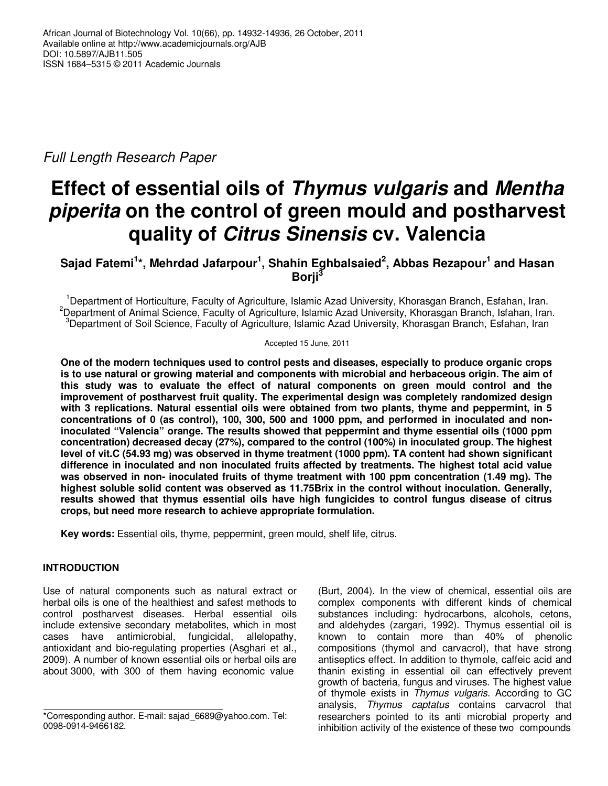Full Length Research Paper

# **Effect of essential oils of Thymus vulgaris and Mentha piperita on the control of green mould and postharvest quality of Citrus Sinensis cv. Valencia**

**Sajad Fatemi<sup>1</sup> \*, Mehrdad Jafarpour<sup>1</sup> , Shahin Eghbalsaied<sup>2</sup> , Abbas Rezapour<sup>1</sup> and Hasan Borji<sup>3</sup>**

<sup>1</sup>Department of Horticulture, Faculty of Agriculture, Islamic Azad University, Khorasgan Branch, Esfahan, Iran. <sup>2</sup>Department of Animal Science, Faculty of Agriculture, Islamic Azad University, Khorasgan Branch, Isfahan, Iran. <sup>3</sup>Department of Soil Science, Faculty of Agriculture, Islamic Azad University, Khorasgan Branch, Esfahan, Iran

Accepted 15 June, 2011

**One of the modern techniques used to control pests and diseases, especially to produce organic crops is to use natural or growing material and components with microbial and herbaceous origin. The aim of this study was to evaluate the effect of natural components on green mould control and the improvement of postharvest fruit quality. The experimental design was completely randomized design with 3 replications. Natural essential oils were obtained from two plants, thyme and peppermint, in 5 concentrations of 0 (as control), 100, 300, 500 and 1000 ppm, and performed in inoculated and noninoculated "Valencia" orange. The results showed that peppermint and thyme essential oils (1000 ppm concentration) decreased decay (27%), compared to the control (100%) in inoculated group. The highest level of vit.C (54.93 mg) was observed in thyme treatment (1000 ppm). TA content had shown significant difference in inoculated and non inoculated fruits affected by treatments. The highest total acid value was observed in non- inoculated fruits of thyme treatment with 100 ppm concentration (1.49 mg). The highest soluble solid content was observed as 11.75Brix in the control without inoculation. Generally, results showed that thymus essential oils have high fungicides to control fungus disease of citrus crops, but need more research to achieve appropriate formulation.** 

**Key words:** Essential oils, thyme, peppermint, green mould, shelf life, citrus.

## **INTRODUCTION**

Use of natural components such as natural extract or herbal oils is one of the healthiest and safest methods to control postharvest diseases. Herbal essential oils include extensive secondary metabolites, which in most cases have antimicrobial, fungicidal, allelopathy, antioxidant and bio-regulating properties (Asghari et al., 2009). A number of known essential oils or herbal oils are about 3000, with 300 of them having economic value

(Burt, 2004). In the view of chemical, essential oils are complex components with different kinds of chemical substances including: hydrocarbons, alcohols, cetons, and aldehydes (zargari, 1992). Thymus essential oil is known to contain more than 40% of phenolic compositions (thymol and carvacrol), that have strong antiseptics effect. In addition to thymole, caffeic acid and thanin existing in essential oil can effectively prevent growth of bacteria, fungus and viruses. The highest value of thymole exists in Thymus vulgaris. According to GC analysis, Thymus captatus contains carvacrol that researchers pointed to its anti microbial property and inhibition activity of the existence of these two compounds

<sup>\*</sup>Corresponding author. E-mail: sajad\_6689@yahoo.com. Tel: 0098-0914-9466182.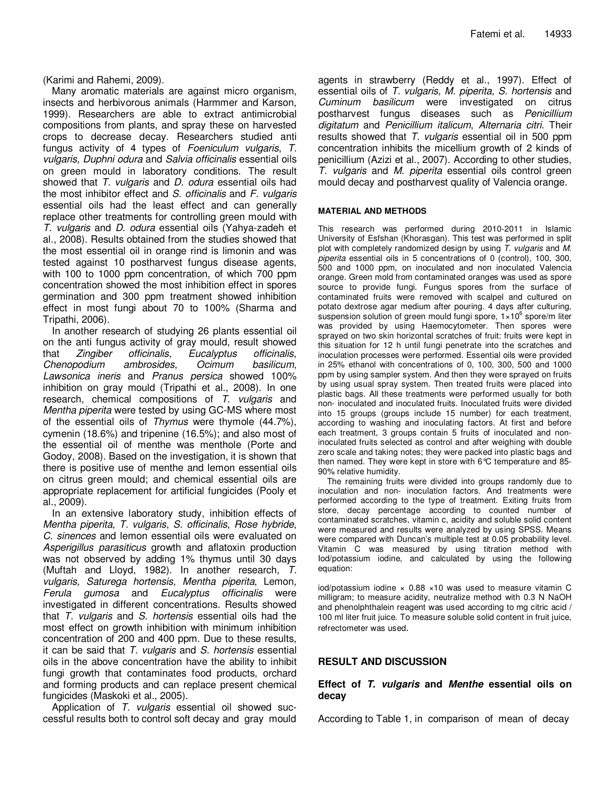(Karimi and Rahemi, 2009).

Many aromatic materials are against micro organism, insects and herbivorous animals (Harmmer and Karson, 1999). Researchers are able to extract antimicrobial compositions from plants, and spray these on harvested crops to decrease decay. Researchers studied anti fungus activity of 4 types of Foeniculum vulgaris, T. vulgaris, Duphni odura and Salvia officinalis essential oils on green mould in laboratory conditions. The result showed that T. vulgaris and D. odura essential oils had the most inhibitor effect and S. officinalis and F. vulgaris essential oils had the least effect and can generally replace other treatments for controlling green mould with T. vulgaris and D. odura essential oils (Yahya-zadeh et al., 2008). Results obtained from the studies showed that the most essential oil in orange rind is limonin and was tested against 10 postharvest fungus disease agents, with 100 to 1000 ppm concentration, of which 700 ppm concentration showed the most inhibition effect in spores germination and 300 ppm treatment showed inhibition effect in most fungi about 70 to 100% (Sharma and Tripathi, 2006).

In another research of studying 26 plants essential oil on the anti fungus activity of gray mould, result showed that Zingiber officinalis, Eucalyptus officinalis, Chenopodium ambrosides, Ocimum basilicum, Lawsonica ineris and Pranus persica showed 100% inhibition on gray mould (Tripathi et al., 2008). In one research, chemical compositions of T. vulgaris and Mentha piperita were tested by using GC-MS where most of the essential oils of Thymus were thymole (44.7%), cymenin (18.6%) and tripenine (16.5%); and also most of the essential oil of menthe was menthole (Porte and Godoy, 2008). Based on the investigation, it is shown that there is positive use of menthe and lemon essential oils on citrus green mould; and chemical essential oils are appropriate replacement for artificial fungicides (Pooly et al., 2009).

In an extensive laboratory study, inhibition effects of Mentha piperita, T. vulgaris, S. officinalis, Rose hybride, C. sinences and lemon essential oils were evaluated on Asperigillus parasiticus growth and aflatoxin production was not observed by adding 1% thymus until 30 days (Muftah and Lloyd, 1982). In another research, T. vulgaris, Saturega hortensis, Mentha piperita, Lemon, Ferula gumosa and Eucalyptus officinalis were investigated in different concentrations. Results showed that T. vulgaris and S. hortensis essential oils had the most effect on growth inhibition with minimum inhibition concentration of 200 and 400 ppm. Due to these results, it can be said that  $T.$  vulgaris and  $S.$  hortensis essential oils in the above concentration have the ability to inhibit fungi growth that contaminates food products, orchard and forming products and can replace present chemical fungicides (Maskoki et al., 2005).

Application of T. vulgaris essential oil showed successful results both to control soft decay and gray mould agents in strawberry (Reddy et al., 1997). Effect of essential oils of T. vulgaris, M. piperita, S. hortensis and Cuminum basilicum were investigated on citrus postharvest fungus diseases such as Penicillium digitatum and Penicillium italicum, Alternaria citri. Their results showed that T. vulgaris essential oil in 500 ppm concentration inhibits the micellium growth of 2 kinds of penicillium (Azizi et al., 2007). According to other studies, T. vulgaris and M. piperita essential oils control green mould decay and postharvest quality of Valencia orange.

#### **MATERIAL AND METHODS**

This research was performed during 2010-2011 in Islamic University of Esfshan (Khorasgan). This test was performed in split plot with completely randomized design by using T. vulgaris and M. piperita essential oils in 5 concentrations of 0 (control), 100, 300, 500 and 1000 ppm, on inoculated and non inoculated Valencia orange. Green mold from contaminated oranges was used as spore source to provide fungi. Fungus spores from the surface of contaminated fruits were removed with scalpel and cultured on potato dextrose agar medium after pouring. 4 days after culturing, suspension solution of green mould fungi spore,  $1 \times 10^6$  spore/m liter was provided by using Haemocytometer. Then spores were sprayed on two skin horizontal scratches of fruit: fruits were kept in this situation for 12 h until fungi penetrate into the scratches and inoculation processes were performed. Essential oils were provided in 25% ethanol with concentrations of 0, 100, 300, 500 and 1000 ppm by using sampler system. And then they were sprayed on fruits by using usual spray system. Then treated fruits were placed into plastic bags. All these treatments were performed usually for both non- inoculated and inoculated fruits. Inoculated fruits were divided into 15 groups (groups include 15 number) for each treatment, according to washing and inoculating factors. At first and before each treatment, 3 groups contain 5 fruits of inoculated and noninoculated fruits selected as control and after weighing with double zero scale and taking notes; they were packed into plastic bags and then named. They were kept in store with 6°C temperature and 85- 90% relative humidity.

The remaining fruits were divided into groups randomly due to inoculation and non- inoculation factors. And treatments were performed according to the type of treatment. Exiting fruits from store, decay percentage according to counted number of contaminated scratches, vitamin c, acidity and soluble solid content were measured and results were analyzed by using SPSS. Means were compared with Duncan's multiple test at 0.05 probability level. Vitamin C was measured by using titration method with Iod/potassium iodine, and calculated by using the following equation:

iod/potassium iodine  $\times$  0.88  $\times$ 10 was used to measure vitamin C milligram; to measure acidity, neutralize method with 0.3 N NaOH and phenolphthalein reagent was used according to mg citric acid / 100 ml liter fruit juice. To measure soluble solid content in fruit juice, refrectometer was used.

#### **RESULT AND DISCUSSION**

#### **Effect of T. vulgaris and Menthe essential oils on decay**

According to Table 1, in comparison of mean of decay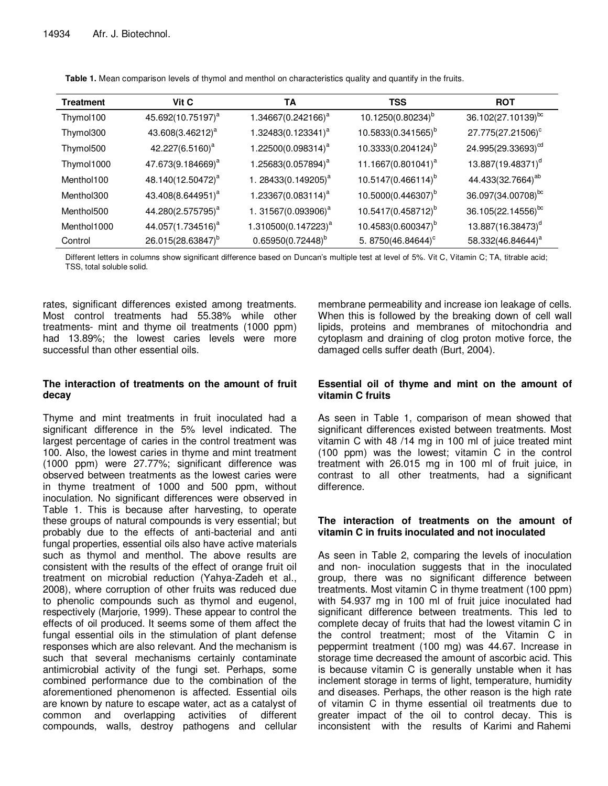| <b>Treatment</b> | Vit C                         | TА                              | TSS                            | <b>ROT</b>                     |
|------------------|-------------------------------|---------------------------------|--------------------------------|--------------------------------|
| Thymol100        | 45.692(10.75197) <sup>a</sup> | 1.34667(0.242166) <sup>a</sup>  | 10.1250(0.80234) <sup>b</sup>  | $36.102(27.10139)^{bc}$        |
| Thymol300        | 43.608(3.46212) <sup>a</sup>  | $1.32483(0.123341)^a$           | 10.5833(0.341565) <sup>b</sup> | 27.775(27.21506) <sup>c</sup>  |
| Thymol500        | 42.227(6.5160) <sup>a</sup>   | 1.22500(0.098314) <sup>a</sup>  | 10.3333(0.204124) <sup>b</sup> | 24.995(29.33693) <sup>cd</sup> |
| Thymol1000       | 47.673(9.184669) <sup>a</sup> | 1.25683(0.057894) <sup>a</sup>  | 11.1667(0.801041) <sup>a</sup> | 13.887(19.48371) <sup>d</sup>  |
| Menthol100       | 48.140(12.50472) <sup>a</sup> | 1. 28433(0.149205) <sup>a</sup> | $10.5147(0.466114)^{b}$        | 44.433(32.7664) <sup>ab</sup>  |
| Menthol300       | 43.408(8.644951) <sup>a</sup> | 1.23367(0.083114) <sup>a</sup>  | 10.5000(0.446307) <sup>b</sup> | 36.097(34.00708) <sup>bc</sup> |
| Menthol500       | 44.280(2.575795) <sup>a</sup> | 1. 31567(0.093906) <sup>a</sup> | 10.5417(0.458712) <sup>b</sup> | 36.105(22.14556) <sup>bc</sup> |
| Menthol1000      | 44.057(1.734516) <sup>a</sup> | 1.310500(0.147223) <sup>a</sup> | 10.4583(0.600347) <sup>b</sup> | 13.887(16.38473) <sup>d</sup>  |
| Control          | 26.015(28.63847) <sup>b</sup> | $0.65950(0.72448)^{b}$          | 5. 8750(46.84644) <sup>c</sup> | 58.332(46.84644) <sup>a</sup>  |

**Table 1.** Mean comparison levels of thymol and menthol on characteristics quality and quantify in the fruits.

Different letters in columns show significant difference based on Duncan's multiple test at level of 5%. Vit C, Vitamin C; TA, titrable acid; TSS, total soluble solid.

rates, significant differences existed among treatments. Most control treatments had 55.38% while other treatments- mint and thyme oil treatments (1000 ppm) had 13.89%; the lowest caries levels were more successful than other essential oils.

## **The interaction of treatments on the amount of fruit decay**

Thyme and mint treatments in fruit inoculated had a significant difference in the 5% level indicated. The largest percentage of caries in the control treatment was 100. Also, the lowest caries in thyme and mint treatment (1000 ppm) were 27.77%; significant difference was observed between treatments as the lowest caries were in thyme treatment of 1000 and 500 ppm, without inoculation. No significant differences were observed in Table 1. This is because after harvesting, to operate these groups of natural compounds is very essential; but probably due to the effects of anti-bacterial and anti fungal properties, essential oils also have active materials such as thymol and menthol. The above results are consistent with the results of the effect of orange fruit oil treatment on microbial reduction (Yahya-Zadeh et al., 2008), where corruption of other fruits was reduced due to phenolic compounds such as thymol and eugenol, respectively (Marjorie, 1999). These appear to control the effects of oil produced. It seems some of them affect the fungal essential oils in the stimulation of plant defense responses which are also relevant. And the mechanism is such that several mechanisms certainly contaminate antimicrobial activity of the fungi set. Perhaps, some combined performance due to the combination of the aforementioned phenomenon is affected. Essential oils are known by nature to escape water, act as a catalyst of common and overlapping activities of different compounds, walls, destroy pathogens and cellular

membrane permeability and increase ion leakage of cells. When this is followed by the breaking down of cell wall lipids, proteins and membranes of mitochondria and cytoplasm and draining of clog proton motive force, the damaged cells suffer death (Burt, 2004).

## **Essential oil of thyme and mint on the amount of vitamin C fruits**

As seen in Table 1, comparison of mean showed that significant differences existed between treatments. Most vitamin C with 48 /14 mg in 100 ml of juice treated mint (100 ppm) was the lowest; vitamin C in the control treatment with 26.015 mg in 100 ml of fruit juice, in contrast to all other treatments, had a significant difference.

## **The interaction of treatments on the amount of vitamin C in fruits inoculated and not inoculated**

As seen in Table 2, comparing the levels of inoculation and non- inoculation suggests that in the inoculated group, there was no significant difference between treatments. Most vitamin C in thyme treatment (100 ppm) with 54.937 mg in 100 ml of fruit juice inoculated had significant difference between treatments. This led to complete decay of fruits that had the lowest vitamin C in the control treatment; most of the Vitamin C in peppermint treatment (100 mg) was 44.67. Increase in storage time decreased the amount of ascorbic acid. This is because vitamin C is generally unstable when it has inclement storage in terms of light, temperature, humidity and diseases. Perhaps, the other reason is the high rate of vitamin C in thyme essential oil treatments due to greater impact of the oil to control decay. This is inconsistent with the results of Karimi and Rahemi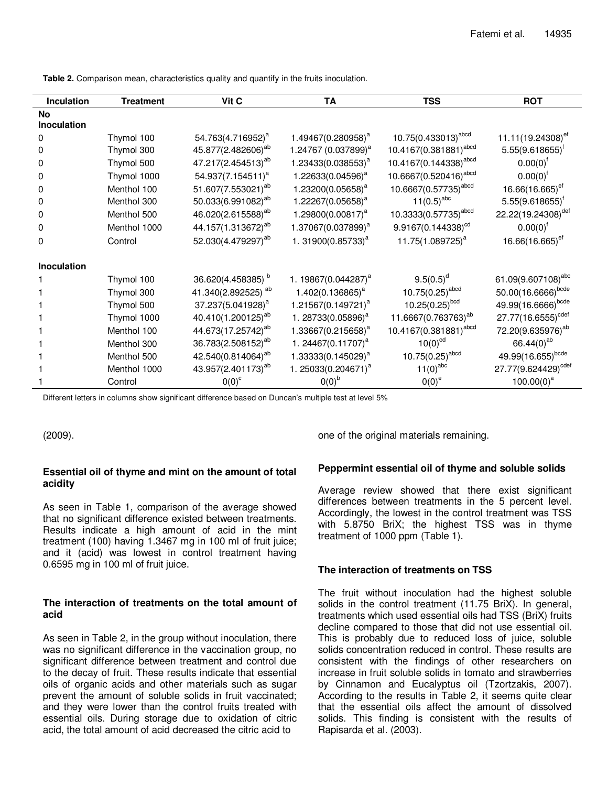| Inculation         | <b>Treatment</b> | Vit C                          | <b>TA</b>                       | <b>TSS</b>                        | <b>ROT</b>                      |
|--------------------|------------------|--------------------------------|---------------------------------|-----------------------------------|---------------------------------|
| <b>No</b>          |                  |                                |                                 |                                   |                                 |
| <b>Inoculation</b> |                  |                                |                                 |                                   |                                 |
| 0                  | Thymol 100       | 54.763(4.716952) <sup>a</sup>  | 1.49467(0.280958) <sup>a</sup>  | 10.75(0.433013) <sup>abcd</sup>   | 11.11(19.24308) <sup>ef</sup>   |
| 0                  | Thymol 300       | 45.877(2.482606) <sup>ab</sup> | 1.24767 (0.037899) <sup>a</sup> | 10.4167(0.381881) <sup>abcd</sup> | $5.55(9.618655)^{f}$            |
| 0                  | Thymol 500       | 47.217(2.454513) <sup>ab</sup> | 1.23433(0.038553) <sup>a</sup>  | 10.4167(0.144338) <sup>abcd</sup> | $0.00(0)^{f}$                   |
| 0                  | Thymol 1000      | 54.937(7.154511) <sup>a</sup>  | 1.22633(0.04596) <sup>a</sup>   | 10.6667(0.520416) <sup>abcd</sup> | $0.00(0)^{t}$                   |
| 0                  | Menthol 100      | 51.607(7.553021) <sup>ab</sup> | 1.23200(0.05658) <sup>a</sup>   | 10.6667(0.57735) <sup>abcd</sup>  | 16.66(16.665) <sup>ef</sup>     |
| 0                  | Menthol 300      | 50.033(6.991082) <sup>ab</sup> | 1.22267(0.05658) <sup>a</sup>   | $11(0.5)^{abc}$                   | $5.55(9.618655)^{f}$            |
| 0                  | Menthol 500      | 46.020(2.615588) <sup>ab</sup> | 1.29800(0.00817) <sup>a</sup>   | 10.3333(0.57735) <sup>abcd</sup>  | 22.22(19.24308) <sup>def</sup>  |
| 0                  | Menthol 1000     | 44.157(1.313672) <sup>ab</sup> | 1.37067(0.037899) <sup>a</sup>  | $9.9167(0.144338)^{cd}$           | $0.00(0)^{f}$                   |
| 0                  | Control          | 52.030(4.479297) <sup>ab</sup> | 1. 31900(0.85733) <sup>a</sup>  | 11.75(1.089725) <sup>a</sup>      | 16.66(16.665) <sup>ef</sup>     |
| Inoculation        |                  |                                |                                 |                                   |                                 |
|                    | Thymol 100       | 36.620(4.458385) b             | 1. 19867(0.044287) <sup>a</sup> | $9.5(0.5)^d$                      | 61.09(9.607108) <sup>abc</sup>  |
|                    | Thymol 300       | 41.340(2.892525) <sup>ab</sup> | $1.402(0.136865)^a$             | $10.75(0.25)^{abcd}$              | 50.00(16.6666) <sup>bcde</sup>  |
|                    | Thymol 500       | 37.237(5.041928) <sup>a</sup>  | 1.21567(0.149721) <sup>a</sup>  | $10.25(0.25)$ <sup>bcd</sup>      | 49.99(16.6666)bcde              |
|                    | Thymol 1000      | 40.410(1.200125) <sup>ab</sup> | 1. 28733(0.05896) <sup>a</sup>  | 11.6667(0.763763) <sup>ab</sup>   | 27.77(16.6555) <sup>cdef</sup>  |
|                    | Menthol 100      | 44.673(17.25742) <sup>ab</sup> | 1.33667(0.215658) <sup>a</sup>  | 10.4167(0.381881) <sup>abcd</sup> | 72.20(9.635976) <sup>ab</sup>   |
|                    | Menthol 300      | 36.783(2.508152) <sup>ab</sup> | 1. 24467(0.11707) <sup>a</sup>  | $10(0)^{cd}$                      | 66.44 $(0)^{ab}$                |
|                    | Menthol 500      | 42.540(0.814064) <sup>ab</sup> | 1.33333(0.145029) <sup>a</sup>  | $10.75(0.25)^{abcd}$              | 49.99(16.655)bcde               |
|                    | Menthol 1000     | 43.957(2.401173) <sup>ab</sup> | 1. 25033(0.204671) <sup>a</sup> | $11(0)^{abc}$                     | 27.77(9.624429) <sup>cdef</sup> |
|                    | Control          | $0(0)^c$                       | $0(0)^{b}$                      | $0(0)^e$                          | $100.00(0)^{a}$                 |

**Table 2.** Comparison mean, characteristics quality and quantify in the fruits inoculation.

Different letters in columns show significant difference based on Duncan's multiple test at level 5%

(2009).

#### **Essential oil of thyme and mint on the amount of total acidity**

As seen in Table 1, comparison of the average showed that no significant difference existed between treatments. Results indicate a high amount of acid in the mint treatment (100) having 1.3467 mg in 100 ml of fruit juice; and it (acid) was lowest in control treatment having 0.6595 mg in 100 ml of fruit juice.

#### **The interaction of treatments on the total amount of acid**

As seen in Table 2, in the group without inoculation, there was no significant difference in the vaccination group, no significant difference between treatment and control due to the decay of fruit. These results indicate that essential oils of organic acids and other materials such as sugar prevent the amount of soluble solids in fruit vaccinated; and they were lower than the control fruits treated with essential oils. During storage due to oxidation of citric acid, the total amount of acid decreased the citric acid to

one of the original materials remaining.

#### **Peppermint essential oil of thyme and soluble solids**

Average review showed that there exist significant differences between treatments in the 5 percent level. Accordingly, the lowest in the control treatment was TSS with 5.8750 BriX; the highest TSS was in thyme treatment of 1000 ppm (Table 1).

#### **The interaction of treatments on TSS**

The fruit without inoculation had the highest soluble solids in the control treatment (11.75 BriX). In general, treatments which used essential oils had TSS (BriX) fruits decline compared to those that did not use essential oil. This is probably due to reduced loss of juice, soluble solids concentration reduced in control. These results are consistent with the findings of other researchers on increase in fruit soluble solids in tomato and strawberries by Cinnamon and Eucalyptus oil (Tzortzakis, 2007). According to the results in Table 2, it seems quite clear that the essential oils affect the amount of dissolved solids. This finding is consistent with the results of Rapisarda et al. (2003).